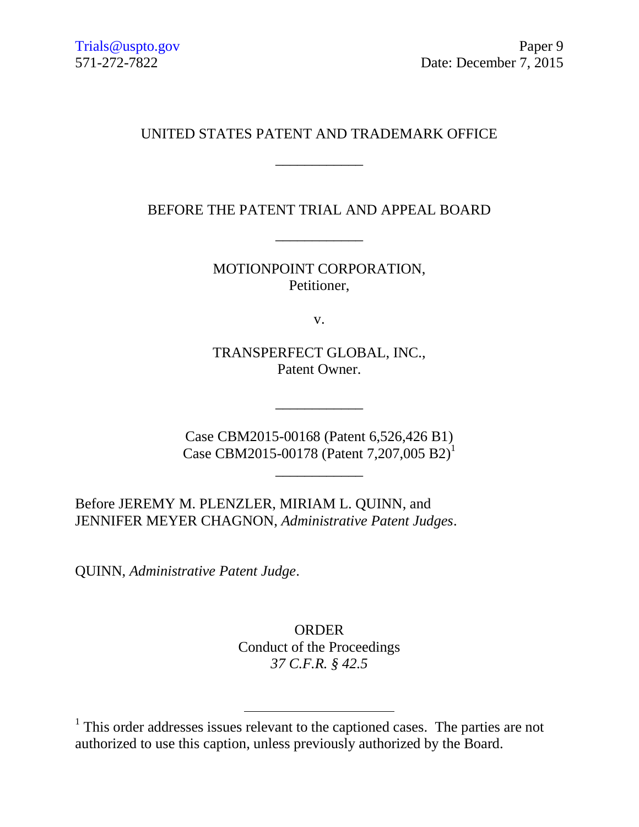# UNITED STATES PATENT AND TRADEMARK OFFICE

\_\_\_\_\_\_\_\_\_\_\_\_

BEFORE THE PATENT TRIAL AND APPEAL BOARD

\_\_\_\_\_\_\_\_\_\_\_\_

MOTIONPOINT CORPORATION, Petitioner,

v.

TRANSPERFECT GLOBAL, INC., Patent Owner.

\_\_\_\_\_\_\_\_\_\_\_\_

Case CBM2015-00168 (Patent 6,526,426 B1) Case CBM2015-00178 (Patent 7,207,005 B2)<sup>1</sup>

\_\_\_\_\_\_\_\_\_\_\_\_

Before JEREMY M. PLENZLER, MIRIAM L. QUINN, and JENNIFER MEYER CHAGNON, *Administrative Patent Judges*.

 $\overline{a}$ 

QUINN, *Administrative Patent Judge*.

ORDER Conduct of the Proceedings *37 C.F.R. § 42.5*

<sup>&</sup>lt;sup>1</sup> This order addresses issues relevant to the captioned cases. The parties are not authorized to use this caption, unless previously authorized by the Board.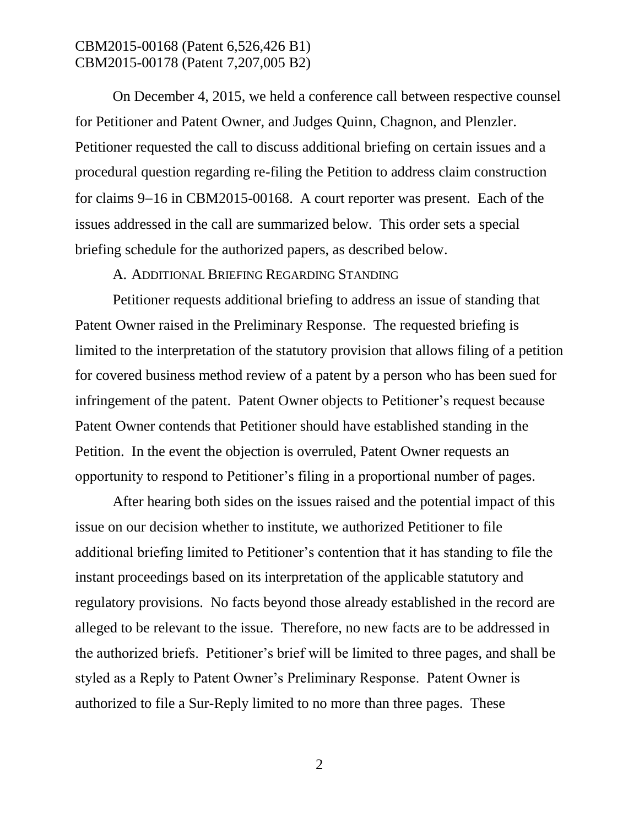On December 4, 2015, we held a conference call between respective counsel for Petitioner and Patent Owner, and Judges Quinn, Chagnon, and Plenzler. Petitioner requested the call to discuss additional briefing on certain issues and a procedural question regarding re-filing the Petition to address claim construction for claims 9–16 in CBM2015-00168. A court reporter was present. Each of the issues addressed in the call are summarized below. This order sets a special briefing schedule for the authorized papers, as described below.

### A. ADDITIONAL BRIEFING REGARDING STANDING

Petitioner requests additional briefing to address an issue of standing that Patent Owner raised in the Preliminary Response. The requested briefing is limited to the interpretation of the statutory provision that allows filing of a petition for covered business method review of a patent by a person who has been sued for infringement of the patent. Patent Owner objects to Petitioner's request because Patent Owner contends that Petitioner should have established standing in the Petition. In the event the objection is overruled, Patent Owner requests an opportunity to respond to Petitioner's filing in a proportional number of pages.

After hearing both sides on the issues raised and the potential impact of this issue on our decision whether to institute, we authorized Petitioner to file additional briefing limited to Petitioner's contention that it has standing to file the instant proceedings based on its interpretation of the applicable statutory and regulatory provisions. No facts beyond those already established in the record are alleged to be relevant to the issue. Therefore, no new facts are to be addressed in the authorized briefs. Petitioner's brief will be limited to three pages, and shall be styled as a Reply to Patent Owner's Preliminary Response. Patent Owner is authorized to file a Sur-Reply limited to no more than three pages. These

2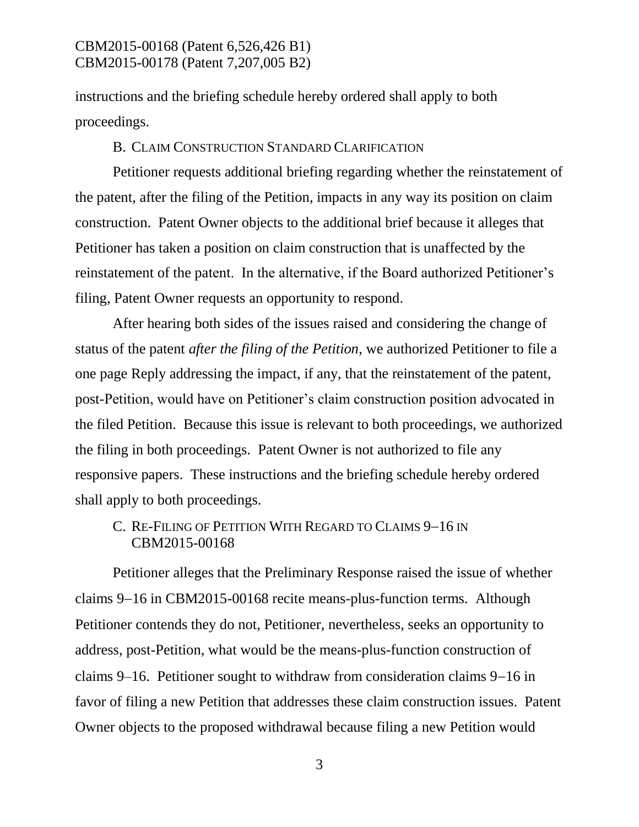instructions and the briefing schedule hereby ordered shall apply to both proceedings.

#### B. CLAIM CONSTRUCTION STANDARD CLARIFICATION

Petitioner requests additional briefing regarding whether the reinstatement of the patent, after the filing of the Petition, impacts in any way its position on claim construction. Patent Owner objects to the additional brief because it alleges that Petitioner has taken a position on claim construction that is unaffected by the reinstatement of the patent. In the alternative, if the Board authorized Petitioner's filing, Patent Owner requests an opportunity to respond.

After hearing both sides of the issues raised and considering the change of status of the patent *after the filing of the Petition*, we authorized Petitioner to file a one page Reply addressing the impact, if any, that the reinstatement of the patent, post-Petition, would have on Petitioner's claim construction position advocated in the filed Petition. Because this issue is relevant to both proceedings, we authorized the filing in both proceedings. Patent Owner is not authorized to file any responsive papers. These instructions and the briefing schedule hereby ordered shall apply to both proceedings.

# C. RE-FILING OF PETITION WITH REGARD TO CLAIMS 9-16 IN CBM2015-00168

Petitioner alleges that the Preliminary Response raised the issue of whether claims 9-16 in CBM2015-00168 recite means-plus-function terms. Although Petitioner contends they do not, Petitioner, nevertheless, seeks an opportunity to address, post-Petition, what would be the means-plus-function construction of claims 9–16. Petitioner sought to withdraw from consideration claims 9–16 in favor of filing a new Petition that addresses these claim construction issues. Patent Owner objects to the proposed withdrawal because filing a new Petition would

3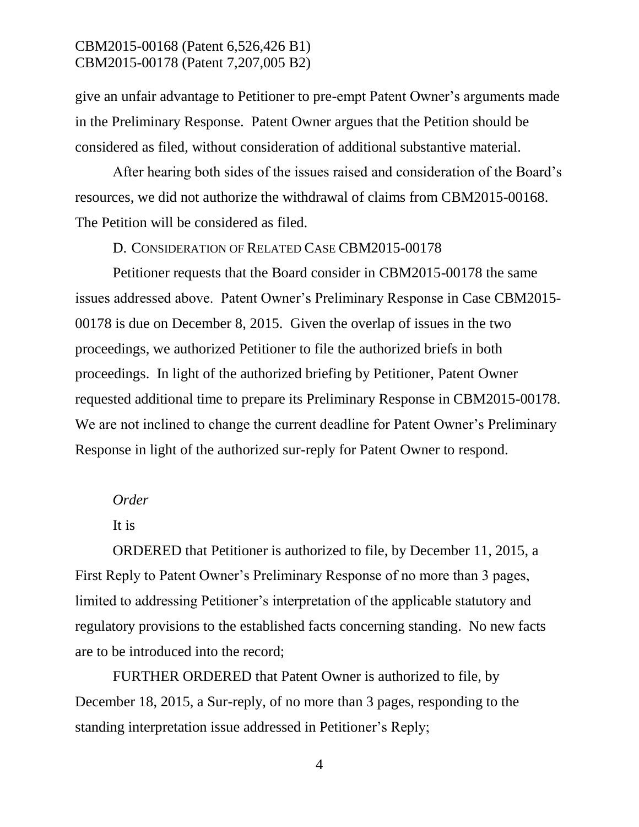give an unfair advantage to Petitioner to pre-empt Patent Owner's arguments made in the Preliminary Response. Patent Owner argues that the Petition should be considered as filed, without consideration of additional substantive material.

After hearing both sides of the issues raised and consideration of the Board's resources, we did not authorize the withdrawal of claims from CBM2015-00168. The Petition will be considered as filed.

#### D. CONSIDERATION OF RELATED CASE CBM2015-00178

Petitioner requests that the Board consider in CBM2015-00178 the same issues addressed above. Patent Owner's Preliminary Response in Case CBM2015- 00178 is due on December 8, 2015. Given the overlap of issues in the two proceedings, we authorized Petitioner to file the authorized briefs in both proceedings. In light of the authorized briefing by Petitioner, Patent Owner requested additional time to prepare its Preliminary Response in CBM2015-00178. We are not inclined to change the current deadline for Patent Owner's Preliminary Response in light of the authorized sur-reply for Patent Owner to respond.

#### *Order*

#### It is

ORDERED that Petitioner is authorized to file, by December 11, 2015, a First Reply to Patent Owner's Preliminary Response of no more than 3 pages, limited to addressing Petitioner's interpretation of the applicable statutory and regulatory provisions to the established facts concerning standing. No new facts are to be introduced into the record;

FURTHER ORDERED that Patent Owner is authorized to file, by December 18, 2015, a Sur-reply, of no more than 3 pages, responding to the standing interpretation issue addressed in Petitioner's Reply;

4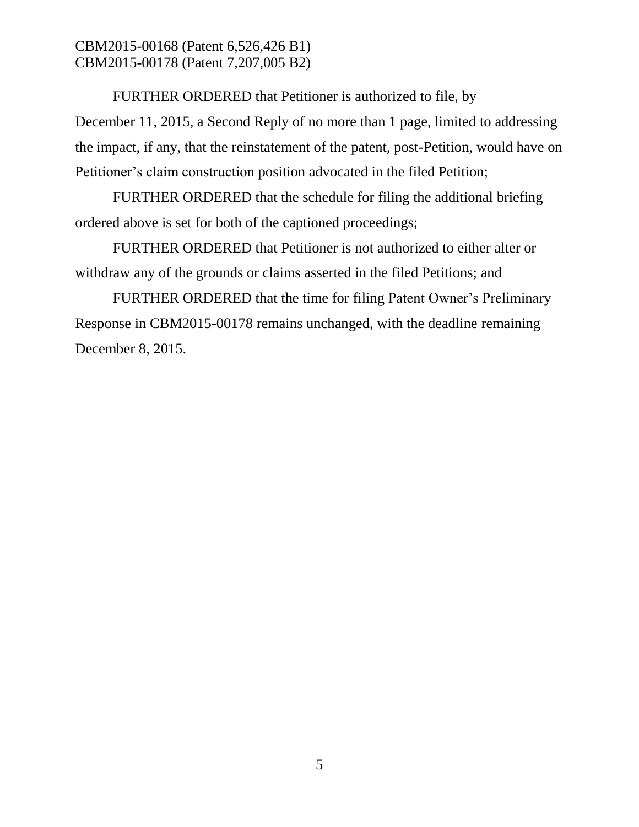FURTHER ORDERED that Petitioner is authorized to file, by December 11, 2015, a Second Reply of no more than 1 page, limited to addressing the impact, if any, that the reinstatement of the patent, post-Petition, would have on Petitioner's claim construction position advocated in the filed Petition;

FURTHER ORDERED that the schedule for filing the additional briefing ordered above is set for both of the captioned proceedings;

FURTHER ORDERED that Petitioner is not authorized to either alter or withdraw any of the grounds or claims asserted in the filed Petitions; and

FURTHER ORDERED that the time for filing Patent Owner's Preliminary Response in CBM2015-00178 remains unchanged, with the deadline remaining December 8, 2015.